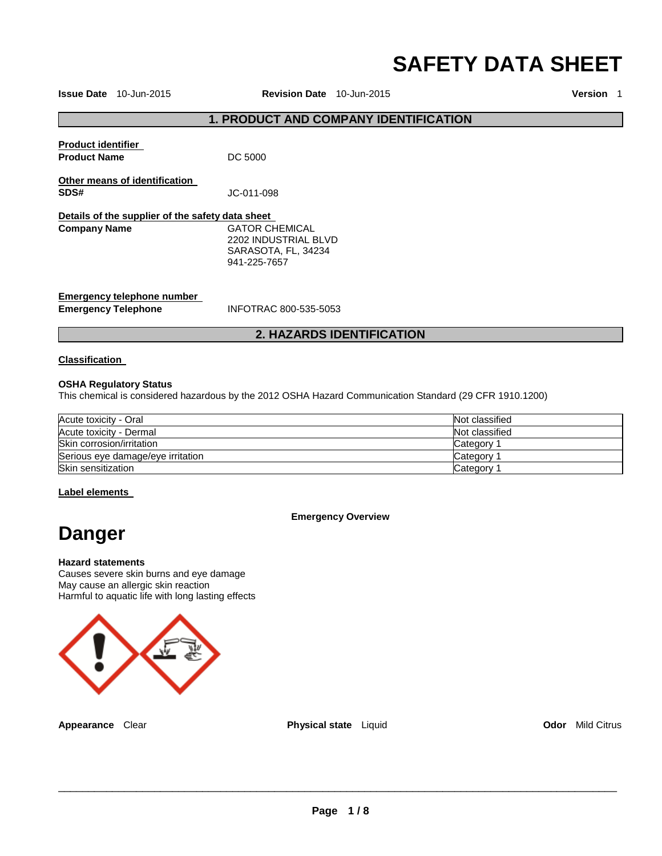# **SAFETY DATA SHEET**

**Issue Date** 10-Jun-2015 **Revision Date** 10-Jun-2015 **Version** 1

## **1. PRODUCT AND COMPANY IDENTIFICATION**

| <b>Product identifier</b><br><b>Product Name</b>         | DC 5000                                                                       |  |
|----------------------------------------------------------|-------------------------------------------------------------------------------|--|
| Other means of identification<br>SDS#                    | JC-011-098                                                                    |  |
| Details of the supplier of the safety data sheet         |                                                                               |  |
| <b>Company Name</b>                                      | GATOR CHEMICAL<br>2202 INDUSTRIAL BLVD<br>SARASOTA, FL, 34234<br>941-225-7657 |  |
| Emergency telephone number<br><b>Emergency Telephone</b> | INFOTRAC 800-535-5053                                                         |  |

## **2. HAZARDS IDENTIFICATION**

#### **Classification**

#### **OSHA Regulatory Status**

This chemical is considered hazardous by the 2012 OSHA Hazard Communication Standard (29 CFR 1910.1200)

| Acute toxicity - Oral             | Not classified |
|-----------------------------------|----------------|
| Acute toxicity - Dermal           | Not classified |
| Skin corrosion/irritation         | Category       |
| Serious eye damage/eye irritation | Category       |
| Skin sensitization                | Category       |

#### **Label elements**

#### **Emergency Overview**

## **Danger**

#### **Hazard statements**

Causes severe skin burns and eye damage May cause an allergic skin reaction Harmful to aquatic life with long lasting effects



**Appearance** Clear **Physical state** Liquid **Odor** Mild Citrus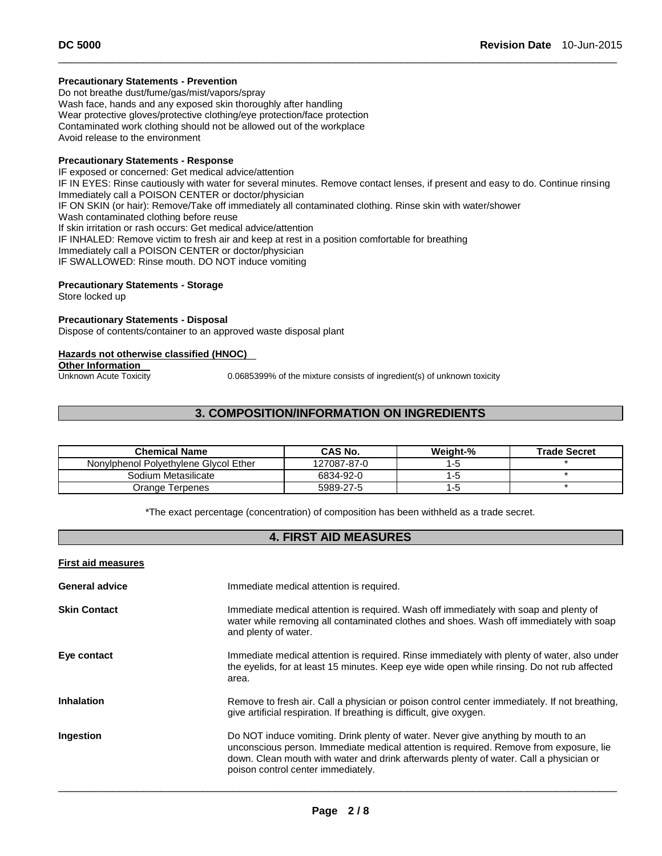#### **Precautionary Statements - Prevention**

Do not breathe dust/fume/gas/mist/vapors/spray Wash face, hands and any exposed skin thoroughly after handling Wear protective gloves/protective clothing/eye protection/face protection Contaminated work clothing should not be allowed out of the workplace Avoid release to the environment

#### **Precautionary Statements - Response**

IF exposed or concerned: Get medical advice/attention IF IN EYES: Rinse cautiously with water for several minutes. Remove contact lenses, if present and easy to do. Continue rinsing Immediately call a POISON CENTER or doctor/physician IF ON SKIN (or hair): Remove/Take off immediately all contaminated clothing. Rinse skin with water/shower Wash contaminated clothing before reuse If skin irritation or rash occurs: Get medical advice/attention IF INHALED: Remove victim to fresh air and keep at rest in a position comfortable for breathing Immediately call a POISON CENTER or doctor/physician IF SWALLOWED: Rinse mouth. DO NOT induce vomiting

\_\_\_\_\_\_\_\_\_\_\_\_\_\_\_\_\_\_\_\_\_\_\_\_\_\_\_\_\_\_\_\_\_\_\_\_\_\_\_\_\_\_\_\_\_\_\_\_\_\_\_\_\_\_\_\_\_\_\_\_\_\_\_\_\_\_\_\_\_\_\_\_\_\_\_\_\_\_\_\_\_\_\_\_\_\_\_\_\_\_\_\_\_

#### **Precautionary Statements - Storage**

Store locked up

#### **Precautionary Statements - Disposal**

Dispose of contents/container to an approved waste disposal plant

#### **Hazards not otherwise classified (HNOC)**

**Other Information** 

Unknown Acute Toxicity 0.0685399% of the mixture consists of ingredient(s) of unknown toxicity

## **3. COMPOSITION/INFORMATION ON INGREDIENTS**

| <b>Chemical Name</b>                  | <b>CAS No.</b> | Weight-% | <b>Trade Secret</b> |
|---------------------------------------|----------------|----------|---------------------|
| Nonviphenol Polvethylene Givcol Ether | 127087-87-0    |          |                     |
| Sodium Metasilicate                   | 6834-92-0      |          |                     |
| Orange Terpenes                       | 5989-27-5      |          |                     |

\*The exact percentage (concentration) of composition has been withheld as a trade secret.

## **4. FIRST AID MEASURES**

| <b>First aid measures</b> |                                                                                                                                                                                                                                                                                                             |
|---------------------------|-------------------------------------------------------------------------------------------------------------------------------------------------------------------------------------------------------------------------------------------------------------------------------------------------------------|
| <b>General advice</b>     | Immediate medical attention is required.                                                                                                                                                                                                                                                                    |
| <b>Skin Contact</b>       | Immediate medical attention is required. Wash off immediately with soap and plenty of<br>water while removing all contaminated clothes and shoes. Wash off immediately with soap<br>and plenty of water.                                                                                                    |
| Eye contact               | Immediate medical attention is required. Rinse immediately with plenty of water, also under<br>the eyelids, for at least 15 minutes. Keep eye wide open while rinsing. Do not rub affected<br>area.                                                                                                         |
| <b>Inhalation</b>         | Remove to fresh air. Call a physician or poison control center immediately. If not breathing,<br>give artificial respiration. If breathing is difficult, give oxygen.                                                                                                                                       |
| Ingestion                 | Do NOT induce vomiting. Drink plenty of water. Never give anything by mouth to an<br>unconscious person. Immediate medical attention is required. Remove from exposure, lie<br>down. Clean mouth with water and drink afterwards plenty of water. Call a physician or<br>poison control center immediately. |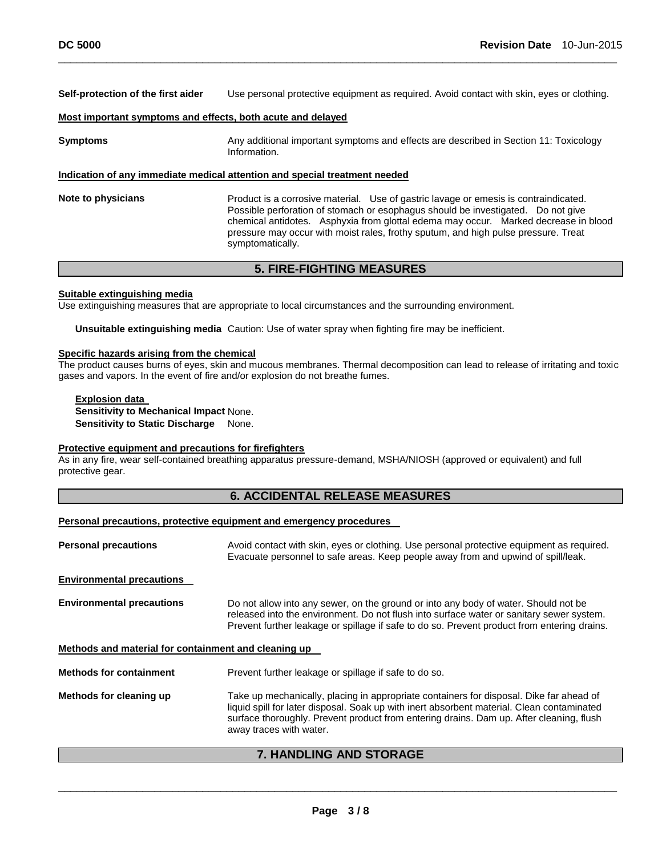**Self-protection of the first aider** Use personal protective equipment as required. Avoid contact with skin, eyes or clothing.

\_\_\_\_\_\_\_\_\_\_\_\_\_\_\_\_\_\_\_\_\_\_\_\_\_\_\_\_\_\_\_\_\_\_\_\_\_\_\_\_\_\_\_\_\_\_\_\_\_\_\_\_\_\_\_\_\_\_\_\_\_\_\_\_\_\_\_\_\_\_\_\_\_\_\_\_\_\_\_\_\_\_\_\_\_\_\_\_\_\_\_\_\_

#### **Most important symptoms and effects, both acute and delayed**

**Symptoms Any additional important symptoms and effects are described in Section 11: Toxicology** Information. **Indication of any immediate medical attention and special treatment needed Note to physicians** Product is a corrosive material. Use of gastric lavage or emesis is contraindicated. Possible perforation of stomach or esophagus should be investigated. Do not give chemical antidotes. Asphyxia from glottal edema may occur. Marked decrease in blood pressure may occur with moist rales, frothy sputum, and high pulse pressure. Treat

## **5. FIRE-FIGHTING MEASURES**

#### **Suitable extinguishing media**

Use extinguishing measures that are appropriate to local circumstances and the surrounding environment.

symptomatically.

**Unsuitable extinguishing media** Caution: Use of water spray when fighting fire may be inefficient.

#### **Specific hazards arising from the chemical**

The product causes burns of eyes, skin and mucous membranes. Thermal decomposition can lead to release of irritating and toxic gases and vapors. In the event of fire and/or explosion do not breathe fumes.

**Explosion data Sensitivity to Mechanical Impact** None. **Sensitivity to Static Discharge None.** 

#### **Protective equipment and precautions for firefighters**

As in any fire, wear self-contained breathing apparatus pressure-demand, MSHA/NIOSH (approved or equivalent) and full protective gear.

#### **6. ACCIDENTAL RELEASE MEASURES**

#### **Personal precautions, protective equipment and emergency procedures**

| <b>Personal precautions</b>                          | Avoid contact with skin, eyes or clothing. Use personal protective equipment as required.<br>Evacuate personnel to safe areas. Keep people away from and upwind of spill/leak.                                                                                                                              |  |
|------------------------------------------------------|-------------------------------------------------------------------------------------------------------------------------------------------------------------------------------------------------------------------------------------------------------------------------------------------------------------|--|
| <b>Environmental precautions</b>                     |                                                                                                                                                                                                                                                                                                             |  |
| <b>Environmental precautions</b>                     | Do not allow into any sewer, on the ground or into any body of water. Should not be<br>released into the environment. Do not flush into surface water or sanitary sewer system.<br>Prevent further leakage or spillage if safe to do so. Prevent product from entering drains.                              |  |
| Methods and material for containment and cleaning up |                                                                                                                                                                                                                                                                                                             |  |
| <b>Methods for containment</b>                       | Prevent further leakage or spillage if safe to do so.                                                                                                                                                                                                                                                       |  |
| Methods for cleaning up                              | Take up mechanically, placing in appropriate containers for disposal. Dike far ahead of<br>liquid spill for later disposal. Soak up with inert absorbent material. Clean contaminated<br>surface thoroughly. Prevent product from entering drains. Dam up. After cleaning, flush<br>away traces with water. |  |

#### **7. HANDLING AND STORAGE**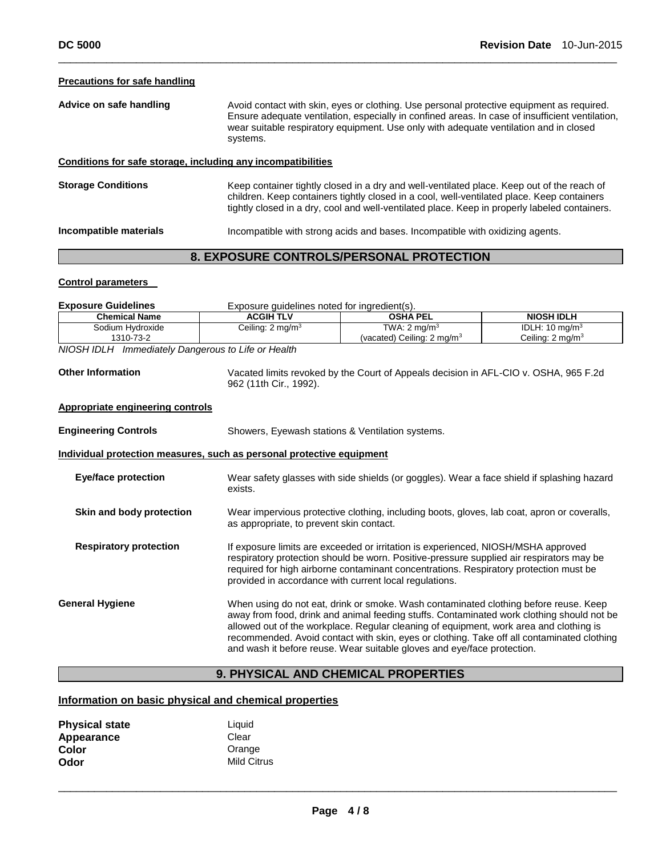#### **Precautions for safe handling**

| Advice on safe handling | Avoid contact with skin, eyes or clothing. Use personal protective equipment as required.       |
|-------------------------|-------------------------------------------------------------------------------------------------|
|                         | Ensure adequate ventilation, especially in confined areas. In case of insufficient ventilation, |
|                         | wear suitable respiratory equipment. Use only with adequate ventilation and in closed           |
|                         | systems.                                                                                        |
|                         |                                                                                                 |

\_\_\_\_\_\_\_\_\_\_\_\_\_\_\_\_\_\_\_\_\_\_\_\_\_\_\_\_\_\_\_\_\_\_\_\_\_\_\_\_\_\_\_\_\_\_\_\_\_\_\_\_\_\_\_\_\_\_\_\_\_\_\_\_\_\_\_\_\_\_\_\_\_\_\_\_\_\_\_\_\_\_\_\_\_\_\_\_\_\_\_\_\_

#### **Conditions for safe storage, including any incompatibilities**

**Storage Conditions** Keep container tightly closed in a dry and well-ventilated place. Keep out of the reach of children. Keep containers tightly closed in a cool, well-ventilated place. Keep containers tightly closed in a dry, cool and well-ventilated place. Keep in properly labeled containers.

**Incompatible materials** Incompatible with strong acids and bases. Incompatible with oxidizing agents.

## **8. EXPOSURE CONTROLS/PERSONAL PROTECTION**

#### **Control parameters**

| <b>Exposure Guidelines</b>                                            | Exposure quidelines noted for ingredient(s).                                                |                                                                                            |                              |  |
|-----------------------------------------------------------------------|---------------------------------------------------------------------------------------------|--------------------------------------------------------------------------------------------|------------------------------|--|
| <b>Chemical Name</b>                                                  | <b>ACGIH TLV</b>                                                                            | <b>OSHA PEL</b>                                                                            | <b>NIOSH IDLH</b>            |  |
| Sodium Hydroxide                                                      | Ceiling: $2 \text{ mg/m}^3$                                                                 | TWA: $2 \text{ ma/m}^3$                                                                    | IDLH: $10 \text{ mg/m}^3$    |  |
| 1310-73-2                                                             |                                                                                             | (vacated) Ceiling: $2 \text{ mg/m}^3$                                                      | Ceiling: 2 mg/m <sup>3</sup> |  |
| NIOSH IDLH Immediately Dangerous to Life or Health                    |                                                                                             |                                                                                            |                              |  |
|                                                                       |                                                                                             |                                                                                            |                              |  |
| <b>Other Information</b>                                              | Vacated limits revoked by the Court of Appeals decision in AFL-CIO v. OSHA, 965 F.2d        |                                                                                            |                              |  |
|                                                                       |                                                                                             | 962 (11th Cir., 1992).                                                                     |                              |  |
| <b>Appropriate engineering controls</b>                               |                                                                                             |                                                                                            |                              |  |
| <b>Engineering Controls</b>                                           |                                                                                             | Showers, Eyewash stations & Ventilation systems.                                           |                              |  |
| Individual protection measures, such as personal protective equipment |                                                                                             |                                                                                            |                              |  |
| <b>Eye/face protection</b>                                            |                                                                                             | Wear safety glasses with side shields (or goggles). Wear a face shield if splashing hazard |                              |  |
|                                                                       | exists.                                                                                     |                                                                                            |                              |  |
| Skin and body protection                                              | Wear impervious protective clothing, including boots, gloves, lab coat, apron or coveralls, |                                                                                            |                              |  |
|                                                                       | as appropriate, to prevent skin contact.                                                    |                                                                                            |                              |  |
| <b>Respiratory protection</b>                                         |                                                                                             | If exposure limits are exceeded or irritation is experienced, NIOSH/MSHA approved          |                              |  |
|                                                                       |                                                                                             | respiratory protection should be worn. Positive-pressure supplied air respirators may be   |                              |  |
|                                                                       |                                                                                             | required for high airborne contaminant concentrations. Respiratory protection must be      |                              |  |
|                                                                       |                                                                                             | provided in accordance with current local regulations.                                     |                              |  |
| <b>General Hygiene</b>                                                |                                                                                             | When using do not eat, drink or smoke. Wash contaminated clothing before reuse. Keep       |                              |  |
|                                                                       |                                                                                             | away from food, drink and animal feeding stuffs. Contaminated work clothing should not be  |                              |  |
|                                                                       |                                                                                             | allowed out of the workplace. Regular cleaning of equipment, work area and clothing is     |                              |  |
|                                                                       |                                                                                             | recommended. Avoid contact with skin, eyes or clothing. Take off all contaminated clothing |                              |  |
|                                                                       |                                                                                             | and wash it before reuse. Wear suitable gloves and eye/face protection.                    |                              |  |
|                                                                       |                                                                                             |                                                                                            |                              |  |

## **9. PHYSICAL AND CHEMICAL PROPERTIES**

#### **Information on basic physical and chemical properties**

| <b>Physical state</b> | Liquid             |
|-----------------------|--------------------|
| Appearance            | Clear              |
| Color                 | Orange             |
| Odor                  | <b>Mild Citrus</b> |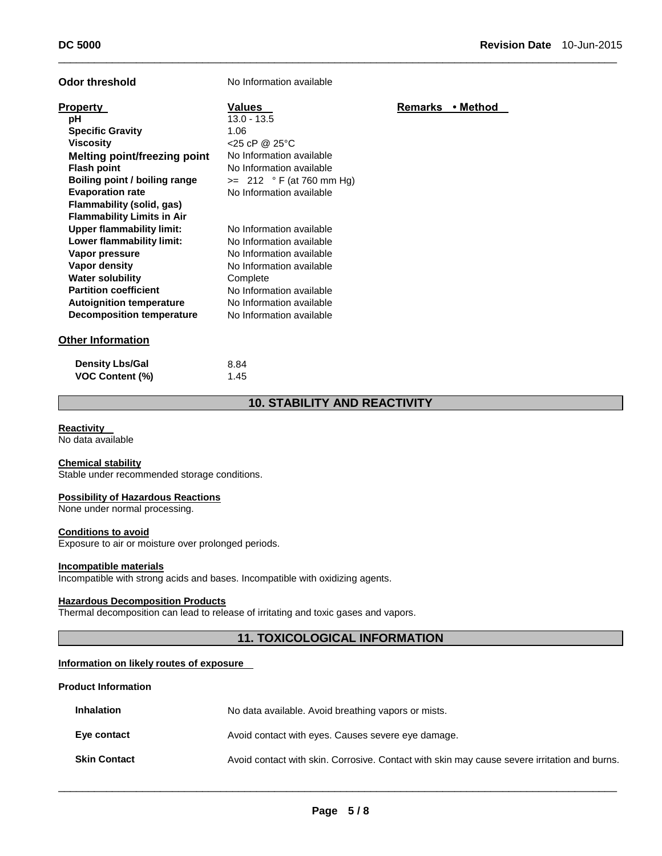| Odor threshold                                                                                                                                                                                                                                                          | No Information available                                                                                                                                                                                     |         |          |
|-------------------------------------------------------------------------------------------------------------------------------------------------------------------------------------------------------------------------------------------------------------------------|--------------------------------------------------------------------------------------------------------------------------------------------------------------------------------------------------------------|---------|----------|
| <b>Property</b><br>рH<br><b>Specific Gravity</b><br><b>Viscosity</b><br><b>Melting point/freezing point</b><br><b>Flash point</b><br>Boiling point / boiling range<br><b>Evaporation rate</b><br>Flammability (solid, gas)                                              | <b>Values</b><br>$13.0 - 13.5$<br>1.06<br>$<$ 25 cP @ 25 $\degree$ C<br>No Information available<br>No Information available<br>$\ge$ 212 ° F (at 760 mm Hg)<br>No Information available                     | Remarks | • Method |
| <b>Flammability Limits in Air</b><br><b>Upper flammability limit:</b><br>Lower flammability limit:<br>Vapor pressure<br>Vapor density<br><b>Water solubility</b><br><b>Partition coefficient</b><br><b>Autoignition temperature</b><br><b>Decomposition temperature</b> | No Information available<br>No Information available<br>No Information available<br>No Information available<br>Complete<br>No Information available<br>No Information available<br>No Information available |         |          |
| <b>Other Information</b>                                                                                                                                                                                                                                                |                                                                                                                                                                                                              |         |          |
| <b>Density Lbs/Gal</b><br><b>VOC Content (%)</b>                                                                                                                                                                                                                        | 8.84<br>1.45                                                                                                                                                                                                 |         |          |

## **10. STABILITY AND REACTIVITY**

\_\_\_\_\_\_\_\_\_\_\_\_\_\_\_\_\_\_\_\_\_\_\_\_\_\_\_\_\_\_\_\_\_\_\_\_\_\_\_\_\_\_\_\_\_\_\_\_\_\_\_\_\_\_\_\_\_\_\_\_\_\_\_\_\_\_\_\_\_\_\_\_\_\_\_\_\_\_\_\_\_\_\_\_\_\_\_\_\_\_\_\_\_

## **Reactivity**

No data available

## **Chemical stability**

Stable under recommended storage conditions.

#### **Possibility of Hazardous Reactions**

None under normal processing.

#### **Conditions to avoid**

Exposure to air or moisture over prolonged periods.

#### **Incompatible materials**

Incompatible with strong acids and bases. Incompatible with oxidizing agents.

#### **Hazardous Decomposition Products**

Thermal decomposition can lead to release of irritating and toxic gases and vapors.

## **11. TOXICOLOGICAL INFORMATION**

#### **Information on likely routes of exposure**

#### **Product Information**

| <b>Inhalation</b>   | No data available. Avoid breathing vapors or mists.                                          |
|---------------------|----------------------------------------------------------------------------------------------|
| Eye contact         | Avoid contact with eyes. Causes severe eye damage.                                           |
| <b>Skin Contact</b> | Avoid contact with skin. Corrosive. Contact with skin may cause severe irritation and burns. |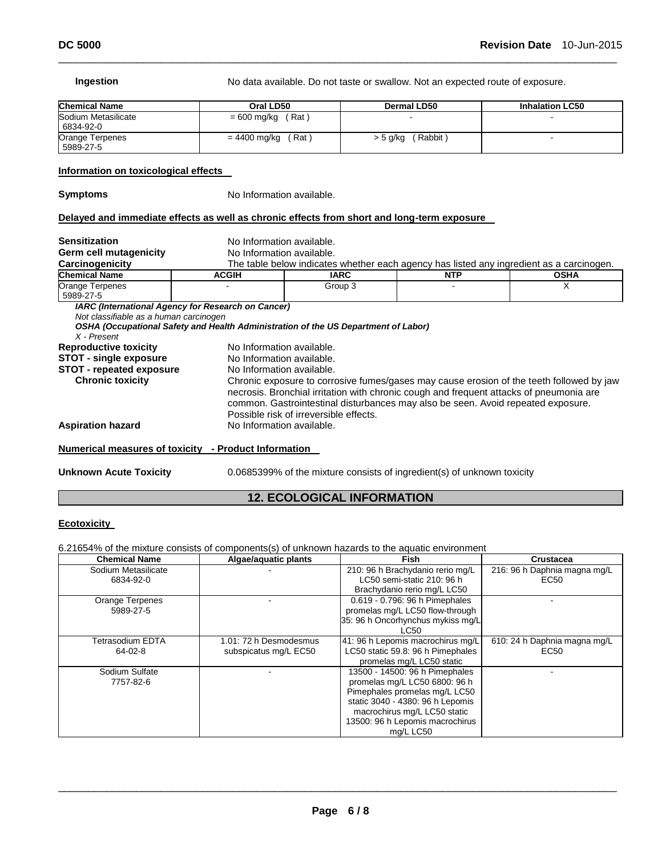#### **Ingestion No data available. Do not taste or swallow. Not an expected route of exposure. Chemical Name Oral LD50 Dermal LD50 Inhalation LC50**  Sodium Metasilicate 6834-92-0  $= 600$  mg/kg (Rat) Orange Terpenes 5989-27-5  $= 4400$  mg/kg (Rat)  $> 5$  g/kg (Rabbit) -**Information on toxicological effects Symptoms** No Information available. **Delayed and immediate effects as well as chronic effects from short and long-term exposure Sensitization No Information available.** Germ cell mutagenicity<br>
Carcinogenicity<br>
<u>The table below indicates</u> The table below indicates whether each agency has listed any ingredient as a carcinogen.<br>**ACGIH CALC <b>INTP Chemical Name ACGIH IARC**<br> **Crange Terpenes** Croup 3 Orange Terpenes 5989-27-5 - Group 3 - X *IARC (International Agency for Research on Cancer) Not classifiable as a human carcinogen*

\_\_\_\_\_\_\_\_\_\_\_\_\_\_\_\_\_\_\_\_\_\_\_\_\_\_\_\_\_\_\_\_\_\_\_\_\_\_\_\_\_\_\_\_\_\_\_\_\_\_\_\_\_\_\_\_\_\_\_\_\_\_\_\_\_\_\_\_\_\_\_\_\_\_\_\_\_\_\_\_\_\_\_\_\_\_\_\_\_\_\_\_\_

| X - Present                                          | OSHA (Occupational Safety and Health Administration of the US Department of Labor)                                                                                                                                                                                                                                |
|------------------------------------------------------|-------------------------------------------------------------------------------------------------------------------------------------------------------------------------------------------------------------------------------------------------------------------------------------------------------------------|
| <b>Reproductive toxicity</b>                         | No Information available.                                                                                                                                                                                                                                                                                         |
| <b>STOT - single exposure</b>                        | No Information available.                                                                                                                                                                                                                                                                                         |
| <b>STOT - repeated exposure</b>                      | No Information available.                                                                                                                                                                                                                                                                                         |
| <b>Chronic toxicity</b>                              | Chronic exposure to corrosive fumes/gases may cause erosion of the teeth followed by jaw<br>necrosis. Bronchial irritation with chronic cough and frequent attacks of pneumonia are<br>common. Gastrointestinal disturbances may also be seen. Avoid repeated exposure.<br>Possible risk of irreversible effects. |
| <b>Aspiration hazard</b>                             | No Information available.                                                                                                                                                                                                                                                                                         |
| Numerical measures of toxicity - Product Information |                                                                                                                                                                                                                                                                                                                   |

**Unknown Acute Toxicity** 0.0685399% of the mixture consists of ingredient(s) of unknown toxicity

#### **12. ECOLOGICAL INFORMATION**

#### **Ecotoxicity**

6.21654% of the mixture consists of components(s) of unknown hazards to the aquatic environment

| <b>Chemical Name</b>   | Algae/aquatic plants   | <b>Fish</b>                       | Crustacea                    |
|------------------------|------------------------|-----------------------------------|------------------------------|
| Sodium Metasilicate    |                        | 210: 96 h Brachydanio rerio mg/L  | 216: 96 h Daphnia magna mg/L |
| 6834-92-0              |                        | LC50 semi-static 210: 96 h        | EC <sub>50</sub>             |
|                        |                        | Brachydanio rerio mg/L LC50       |                              |
| <b>Orange Terpenes</b> |                        | 0.619 - 0.796: 96 h Pimephales    |                              |
| 5989-27-5              |                        | promelas mg/L LC50 flow-through   |                              |
|                        |                        | 35: 96 h Oncorhynchus mykiss mg/L |                              |
|                        |                        | LC50                              |                              |
| Tetrasodium EDTA       | 1.01: 72 h Desmodesmus | 41: 96 h Lepomis macrochirus mg/L | 610: 24 h Daphnia magna mg/L |
| 64-02-8                | subspicatus mg/L EC50  | LC50 static 59.8: 96 h Pimephales | EC50                         |
|                        |                        | promelas mg/L LC50 static         |                              |
| Sodium Sulfate         |                        | 13500 - 14500: 96 h Pimephales    |                              |
| 7757-82-6              |                        | promelas mg/L LC50 6800: 96 h     |                              |
|                        |                        | Pimephales promelas mg/L LC50     |                              |
|                        |                        | static 3040 - 4380: 96 h Lepomis  |                              |
|                        |                        | macrochirus mg/L LC50 static      |                              |
|                        |                        | 13500: 96 h Lepomis macrochirus   |                              |
|                        |                        | mg/L LC50                         |                              |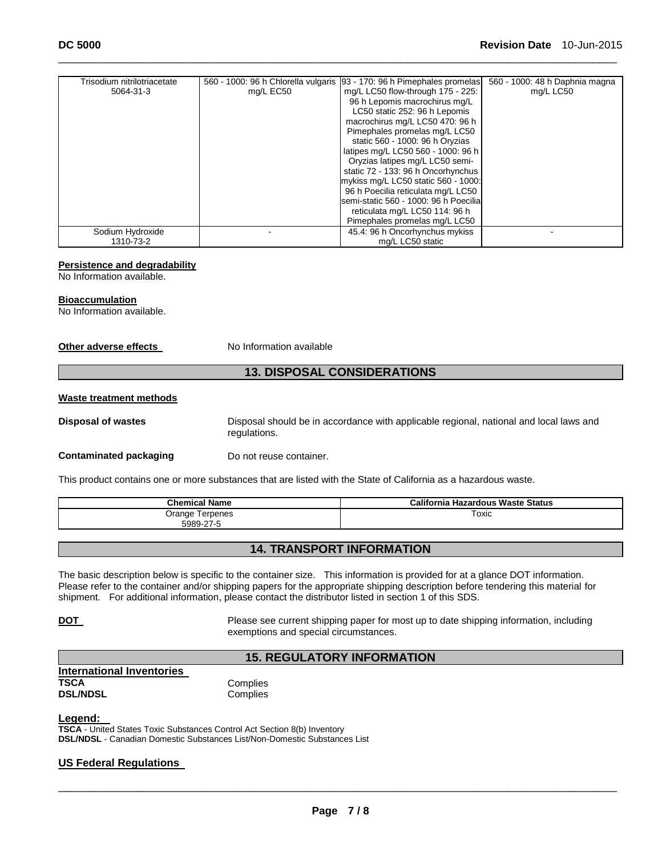| Trisodium nitrilotriacetate |           | 560 - 1000: 96 h Chlorella vulgaris [93 - 170: 96 h Pimephales promelas] | 560 - 1000: 48 h Daphnia magna |
|-----------------------------|-----------|--------------------------------------------------------------------------|--------------------------------|
| 5064-31-3                   | mg/L EC50 | mg/L LC50 flow-through 175 - 225:                                        | mg/L LC50                      |
|                             |           | 96 h Lepomis macrochirus mg/L                                            |                                |
|                             |           | LC50 static 252: 96 h Lepomis                                            |                                |
|                             |           | macrochirus mg/L LC50 470: 96 h                                          |                                |
|                             |           | Pimephales promelas mg/L LC50                                            |                                |
|                             |           | static 560 - 1000: 96 h Oryzias                                          |                                |
|                             |           | latipes mg/L LC50 560 - 1000: 96 h                                       |                                |
|                             |           | Oryzias latipes mg/L LC50 semi-                                          |                                |
|                             |           | static 72 - 133: 96 h Oncorhynchus                                       |                                |
|                             |           | mykiss mg/L LC50 static 560 - 1000:                                      |                                |
|                             |           | 96 h Poecilia reticulata mg/L LC50                                       |                                |
|                             |           | Isemi-static 560 - 1000: 96 h Poecilial                                  |                                |
|                             |           | reticulata mg/L LC50 114: 96 h                                           |                                |
|                             |           | Pimephales promelas mg/L LC50                                            |                                |
| Sodium Hydroxide            |           | 45.4: 96 h Oncorhynchus mykiss                                           |                                |
| 1310-73-2                   |           | mg/L LC50 static                                                         |                                |

\_\_\_\_\_\_\_\_\_\_\_\_\_\_\_\_\_\_\_\_\_\_\_\_\_\_\_\_\_\_\_\_\_\_\_\_\_\_\_\_\_\_\_\_\_\_\_\_\_\_\_\_\_\_\_\_\_\_\_\_\_\_\_\_\_\_\_\_\_\_\_\_\_\_\_\_\_\_\_\_\_\_\_\_\_\_\_\_\_\_\_\_\_

#### **Persistence and degradability**

No Information available.

#### **Bioaccumulation**

No Information available.

#### **Other adverse effects** No Information available

#### **13. DISPOSAL CONSIDERATIONS**

#### **Waste treatment methods**

**Disposal of wastes** Disposal should be in accordance with applicable regional, national and local laws and regulations.

#### **Contaminated packaging Theory Do not reuse container.**

This product contains one or more substances that are listed with the State of California as a hazardous waste.

| <b>Chemical Name</b> | California Hazardous Waste Status |  |  |
|----------------------|-----------------------------------|--|--|
| Orange<br>Terpenes   | Toxic                             |  |  |
| 5989-27-5            |                                   |  |  |

## **14. TRANSPORT INFORMATION**

The basic description below is specific to the container size. This information is provided for at a glance DOT information. Please refer to the container and/or shipping papers for the appropriate shipping description before tendering this material for shipment. For additional information, please contact the distributor listed in section 1 of this SDS.

**DOT Please see current shipping paper for most up to date shipping information, including** exemptions and special circumstances.

### **15. REGULATORY INFORMATION**

| <b>International Inventories</b> |          |
|----------------------------------|----------|
| TSCA                             | Complies |
| <b>DSL/NDSL</b>                  | Complies |

#### **Legend:**

**TSCA** - United States Toxic Substances Control Act Section 8(b) Inventory **DSL/NDSL** - Canadian Domestic Substances List/Non-Domestic Substances List

#### **US Federal Regulations**